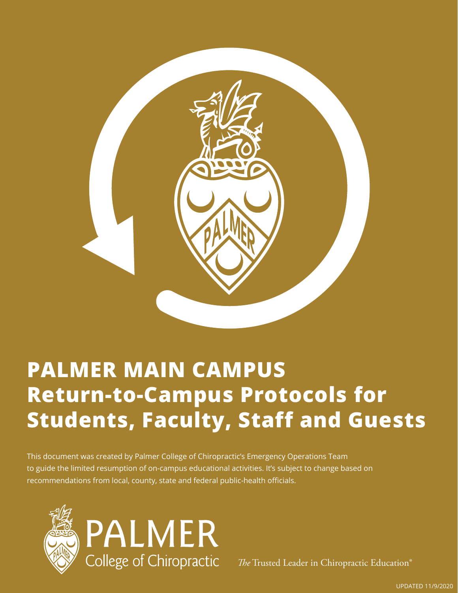

## **PALMER MAIN CAMPUS Return-to-Campus Protocols for Students, Faculty, Staff and Guests**

This document was created by Palmer College of Chiropractic's Emergency Operations Team to guide the limited resumption of on-campus educational activities. It's subject to change based on recommendations from local, county, state and federal public-health officials.



*The* Trusted Leader in Chiropractic Education®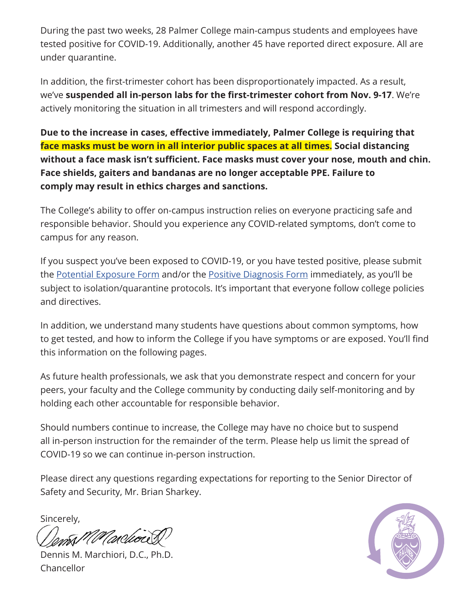During the past two weeks, 28 Palmer College main-campus students and employees have tested positive for COVID-19. Additionally, another 45 have reported direct exposure. All are under quarantine.

In addition, the first-trimester cohort has been disproportionately impacted. As a result, we've **suspended all in-person labs for the first-trimester cohort from Nov. 9-17**. We're actively monitoring the situation in all trimesters and will respond accordingly.

**Due to the increase in cases, effective immediately, Palmer College is requiring that face masks must be worn in all interior public spaces at all times. Social distancing without a face mask isn't sufficient. Face masks must cover your nose, mouth and chin. Face shields, gaiters and bandanas are no longer acceptable PPE. Failure to comply may result in ethics charges and sanctions.**

The College's ability to offer on-campus instruction relies on everyone practicing safe and responsible behavior. Should you experience any COVID-related symptoms, don't come to campus for any reason.

If you suspect you've been exposed to COVID-19, or you have tested positive, please submit the [Potential Exposure Form](https://forms.office.com/Pages/ResponsePage.aspx?id=raWysUySNk6ftMdQ05FYxBZEdglk7epGiP8DWBRWc-FUM0hRT0tER05ESUxJWDc5UU8zQ00xWFIyTy4u) and/or the [Positive Diagnosis Form](https://forms.office.com/Pages/ResponsePage.aspx?id=raWysUySNk6ftMdQ05FYxBZEdglk7epGiP8DWBRWc-FURU1SUEs5SktRNDRGVzVZSDFXSDg3OFBXSy4u) immediately, as you'll be subject to isolation/quarantine protocols. It's important that everyone follow college policies and directives.

In addition, we understand many students have questions about common symptoms, how to get tested, and how to inform the College if you have symptoms or are exposed. You'll find this information on the following pages.

As future health professionals, we ask that you demonstrate respect and concern for your peers, your faculty and the College community by conducting daily self-monitoring and by holding each other accountable for responsible behavior.

Should numbers continue to increase, the College may have no choice but to suspend all in-person instruction for the remainder of the term. Please help us limit the spread of COVID-19 so we can continue in-person instruction.

Please direct any questions regarding expectations for reporting to the Senior Director of Safety and Security, Mr. Brian Sharkey.

Sincerely,

Dennis M. Marchiori, D.C., Ph.D. Chancellor

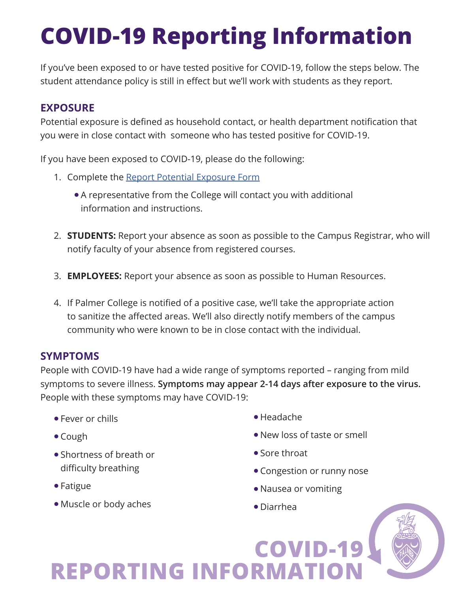# **COVID-19 Reporting Information**

If you've been exposed to or have tested positive for COVID-19, follow the steps below. The student attendance policy is still in effect but we'll work with students as they report.

### **EXPOSURE**

Potential exposure is defined as household contact, or health department notification that you were in close contact with someone who has tested positive for COVID-19.

If you have been exposed to COVID-19, please do the following:

- 1. Complete the [Report Potential Exposure Form](https://forms.office.com/Pages/ResponsePage.aspx?id=raWysUySNk6ftMdQ05FYxBZEdglk7epGiP8DWBRWc-FUM0hRT0tER05ESUxJWDc5UU8zQ00xWFIyTy4u) 
	- A representative from the College will contact you with additional information and instructions.
- 2. **STUDENTS:** Report your absence as soon as possible to the Campus Registrar, who will notify faculty of your absence from registered courses.
- 3. **EMPLOYEES:** Report your absence as soon as possible to Human Resources.
- 4. If Palmer College is notified of a positive case, we'll take the appropriate action to sanitize the affected areas. We'll also directly notify members of the campus community who were known to be in close contact with the individual.

#### **SYMPTOMS**

People with COVID-19 have had a wide range of symptoms reported – ranging from mild symptoms to severe illness. **Symptoms may appear 2-14 days after exposure to the virus.** People with these symptoms may have COVID-19:

**REPORTING INFORMATI** 

- $\bullet$  Fever or chills
- $\bullet$  Cough
- **.** Shortness of breath or difficulty breathing
- $\bullet$  Fatigue
- Muscle or body aches
- $\bullet$  Headache
- $\bullet$  New loss of taste or smell
- **Sore throat**
- Congestion or runny nose

**COVID-19** 

- Nausea or vomiting
- Diarrhea